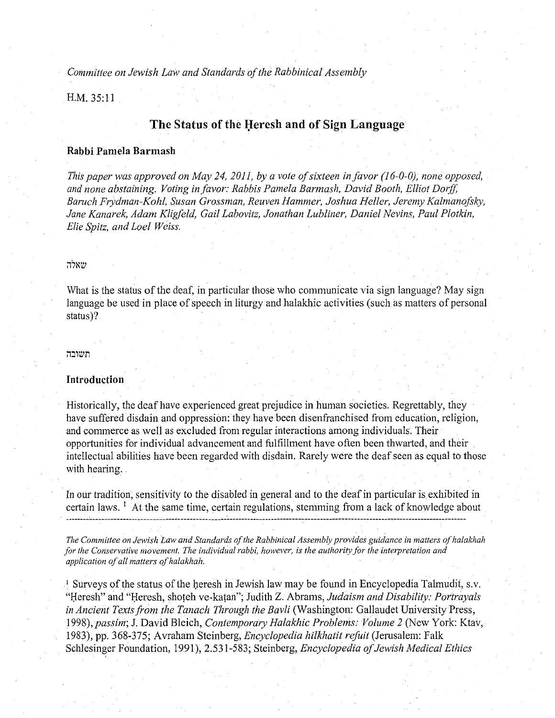*Committee on Jewish Law and Standards of the Rabbinical Assembly* 

H.M. 35:11

# The Status of the Heresh and of Sign Language

# **Rabbi Pamela Barmash**

*This paper was approved on May 24, 2011, by a vote of sixteen in favor (16-0-0), none opposed, and none abstaining. Voting in favor: Rabbis Pamela Barmash, David Booth, Elliot Dorff,*  Baruch Frydman-Kohl, Susan Grossman, Reuven Hammer, Joshua Heller, Jeremy Kalmanofsky, *Jane Kanarek, Adam Kligfeld, Gail Labovitz, Jonathan Lubliner, Daniel Nevins, Paul Plotkin, Elie Spitz, and Loel Weiss.* 

# שאלה

What is the status of the deaf, in particular those who communicate via sign language? May sign language be used in place of speech in liturgy and halakhic activities (such as matters of personal status)?

#### *;,:mzm*

## **Introduction**

Historically, the deaf have experienced great prejudice in human societies. Regrettably, they have suffered disdain and oppression: they have been disenfranchised from education, religion, and commerce as well as excluded from regular interactions among individuals. Their opportunities for individual advancement and fulfillment have often been thwarted, and their intellectual abilities have been regarded with disdain. Rarely were the deaf seen as equal to those with hearing.

In our tradition, sensitivity to the disabled in general and to the deaf in particular is exhibited in certain laws.  $\frac{1}{x}$  At the same time, certain regulations, stemming from a lack of knowledge about

*The Committee on Jewish Law and Standards of the Rabbinical Assembly provides guidance in matters of halakhah for the Conservative movement. The individual rabbi, however, is the authority for the interpretation and application of all matters of ha/akhah.* 

<sup>1</sup> Surveys of the status of the heresh in Jewish law may be found in Encyclopedia Talmudit, s.v. "Heresh" and "Heresh, shoteh ve-katan"; Judith Z. Abrams, *Judaism and Disability: Portrayals in Ancient Texts from the Tanach Through the Bavli* (Washington: Gallaudet University Press, *1998),passim;* J. David Bleich, *Contemporary Halakhic Problems: Volume 2* (New York: Ktav, 1983), pp. 368-375; Avraham Steinberg, *Encyclopedia hilkhatit refuit* (Jerusalem: Falk Schlesinger Foundation, 1991), 2.531-583; Steinberg, *Encyclopedia of Jewish Medical Ethics*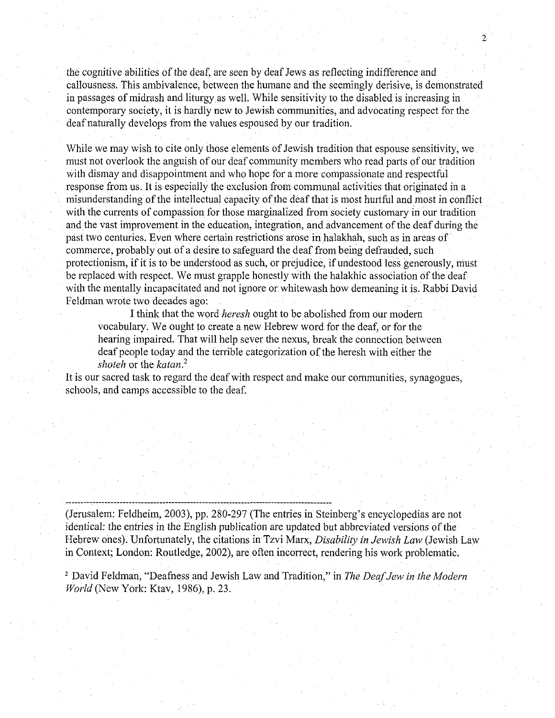the cognitive abilities of the deaf, are seen by deaf Jews as reflecting indifference and callousness. This ambivalence, between the humane and the seemingly derisive, is demonstrated in passages of midrash and liturgy as well. While sensitivity to the disabled is increasing in contemporary society, it is hardly new to Jewish communities, and advocating respect for the deaf naturally develops from the values espoused by our tradition.

2

While we may wish to cite only those elements of Jewish tradition that espouse sensitivity, we must not overlook the anguish of our deaf community members who read parts of our tradition with dismay and disappointment and who hope for a more compassionate and respectful response from us. It is especiaily the exclusion from communal activities that originated in a misunderstanding of the intellectual capacity of the deaf that is most hurtful and most in conflict with the currents of compassion for those marginalized from society customary in our tradition and the vast improvement in the education, integration, and advancement of the deaf during the past two centuries. Even where certain restrictions arose in halakhah, such as in areas of commerce, probably out of a desire to safeguard the deaf from being defrauded, such protectionism, if it is to be understood as such, or prejudice, if undestood less generously, must be replaced with respect. We must grapple honestly with the halakhic association of the deaf with the mentally incapacitated and not ignore or whitewash how demeaning it is. Rabbi David Feldman wrote two decades ago:

I think that the word *heresh* ought to be abolished from our modern vocabulary. We ought to create a new Hebrew word for the deaf, or for the hearing impaired. That will help sever the nexus, break the connection between deaf people today and the terrible categorization of the heresh with either the *shoteh* or the *katan.Z* 

It is our sacred task to regard the deaf with respect and make our communities, synagogues, schools, and camps accessible to the deaf.

(Jerusalem: Feldheim, 2003), pp. 280-297 (The entries in Steinberg's encyclopedias are not identical: the entries in the English publication are updated but abbreviated versions of the Hebrew ones). Unfortunately, the citations in Tzvi Marx, *Disability in Jewish Law* (Jewish Law in Context; London: Routledge, 2002), are often incorrect, rendering his work problematic.

2 David Feldman, "Deafuess and Jewish Law and Tradition," in *The Deaf Jew in the Modern World* (New York: Ktav, 1986), p. 23.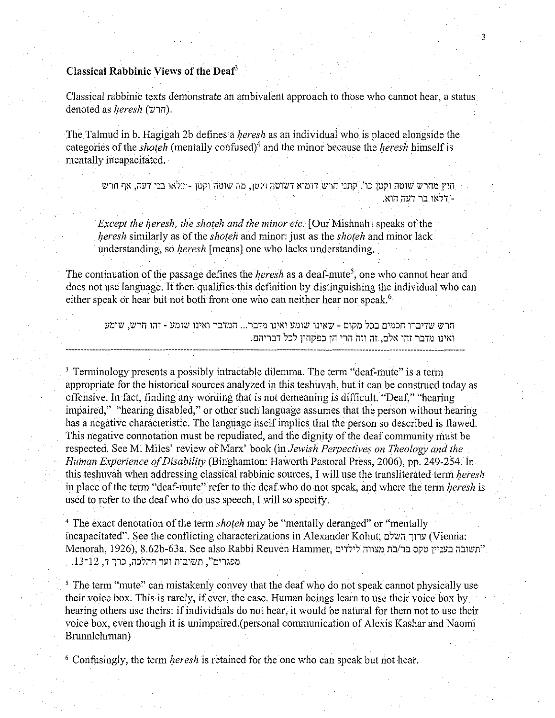# Classical Rabbinic Views of the Deaf3

Classical rabbinic texts demonstrate an ambivalent approach to those who cannot hear, a status denoted as *heresh* (חרש).

The Talmud in b. Hagigah 2b defines a *heresh* as an individual who is placed alongside the categories of the *shoteh* (mentally confused)<sup>4</sup> and the minor because the *heresh* himself is mentally incapacitated.

חוץ מחרש שוטה וקטו כו'. קתני חרש דומיא דשוטה וקטן, מה שוטה וקטן - דלאו בני דעה, אף חרש .~1:1 :1171 I:J 1~'71 -

*Except the heresh, the shoteh and the minor etc.* [Our Mishnah] speaks of the *heresh* similarly as of the *shoteh* and minor: just as the *shoteh* and minor lack understanding, so *heresh* [means] one who lacks understanding.

The continuation of the passage defines the *heresh* as a deaf-mute<sup>5</sup>, one who cannot hear and does not use language. It then qualifies this definition by distinguishing the individual who can either speak or hear but not both from one who can neither hear nor speak.<sup>6</sup>

חרש שדיברו חכמים בכל מקום - שאינו שומע ואינו מדבר... המדבר ואינו שומע - זהו חרש, שומע ואינו מדבר זהו אלם, זה וזה הרי הן כפקחין לכל דבריהם.

3 Terminology presents a possibly intractable dilemma. The term "deaf-mute" is a term appropriate for the historical sources analyzed in this teshuvah, but it can be construed today as offensive. In fact, finding any wording that is not demeaning is difficult. "Deaf," "hearing impaired," "hearing disabled," or other such language assumes that the person without hearing has a negative characteristic. The language itself implies that the person so described is flawed. This negative connotation must be repudiated, and the dignity of the deaf community must be respected. SeeM. Miles' review of Marx' book (in *Jewish Perpectives on Theology and the Human Experience of Disability* (Binghamton: Haworth Pastoral Press, 2006), pp. 249-254. In this teshuvah when addressing classical rabbinic sources, I will use the transliterated term *heresh*  in place of the term "deaf-mute" refer to the deaf who do not speak, and where the term *heresh* is used to refer to the deaf who do use speech, I will so specify.

<sup>4</sup> The exact denotation of the term *shoteh* may be "mentally deranged" or "mentally incapacitated". See the conflicting characterizations in Alexander Kohut, נרוד השלם (Vienna: Menorah, 1926), 8.62b-63a. See also Rabbi Reuven Hammer, יתשובה בעניין טקס בר/בת מצווה לילדים .13-12 , מפגרים", תשובות ועד ההלכה, כרך ד.

<sup>5</sup> The term "mute" can mistakenly convey that the deaf who do not speak cannot physically use their voice box. This is rarely, if ever, the case. Human beings learn to use their voice box by hearing others use theirs: if individuals do not hear, it would be natural for them not to use their voice box, even though it is unimpaired.(personal communication of Alexis Kashar and Naomi Brunnlehrman)

6 Confusingly, the term *heresh* is retained for the one who can speak but not hear.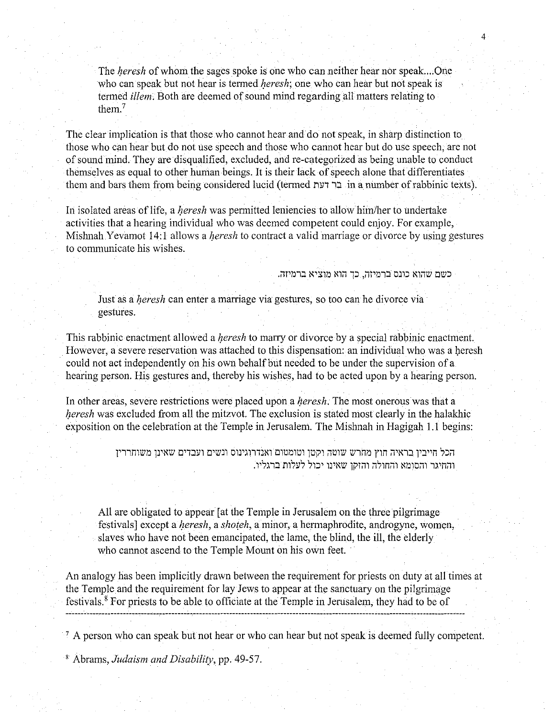The heresh of whom the sages spoke is one who can neither hear nor speak.... One who can speak but not hear is termed *heresh*; one who can hear but not speak is termed *illem*. Both are deemed of sound mind regarding all matters relating to them.<sup>7</sup>

The clear implication is that those who cannot hear and do not speak, in sharp distinction to those who can hear but do not use speech and those who cannot hear but do use speech, are not of sound mind. They are disqualified, excluded, andre-categorized as being unable to conduct themselves as equal to other human beings. It is their lack of speech alone that differentiates them and bars them from being considered lucid (termed בר דעת in a number of rabbinic texts).

In isolated areas of life, a *heresh* was permitted leniencies to allow him/her to undertake activities that a hearing individual who was deemed competent could enjoy. For example, Mishnah Y evamot  $14:1$  allows a *heresh* to contract a valid marriage or divorce by using gestures to communicate his wishes.

כשם שהוא כונס ברמיזה, כך הוא מוציא ברמיזה.

Just as a *heresh* can enter a marriage via gestures, so too can he divorce via gestures.

This rabbinic enactment allowed a *heresh* to marry or divorce by a special rabbinic enactment. However, a severe reservation was attached to this dispensation: an individual who was a heresh could not act independently on his own behalf but needed to be under the supervision of a hearing person. His gestures and, thereby his wishes, had to be acted upon by a hearing person.

In other areas, severe restrictions were placed upon a *heresh*. The most onerous was that a heresh was excluded from all the mitzvot. The exclusion is stated most clearly in the halakhic exposition on the celebration at the Temple in Jerusalem. The Mishnah in Hagigah 1.1 begins:

> הכל חייביו בראיה חוץ מחרש שוטה וקטו וטומטום ואנדרוגינוס ונשים ועבדים שאינו משוחרריו .<br>והחיגר והסומא והחולה והזקן שאינו יכול לעלות ברגליו.

All are obligated to appear [at the Temple in Jerusalem on the three pilgrimage festivals] except a *heresh*, a *shoteh*, a minor, a hermaphrodite, androgyne, women, slaves who have not been emancipated, the lame, the blind, the ill, the elderly who cannot ascend to the Temple Mount on his own feet.

An analogy has been implicitly drawn between the requirement for priests on duty at all times at the Temple and the requirement for lay Jews to appear at the sanctuary on the pilgrimage festivals. 8 For priests to be able to officiate at the Temple in Jerusalem, they had to be of

<sup>7</sup> A person who can speak but not hear or who can hear but not speak is deemed fully competent.

8 Abrams, *Judaism and Disability,* pp. 49-57.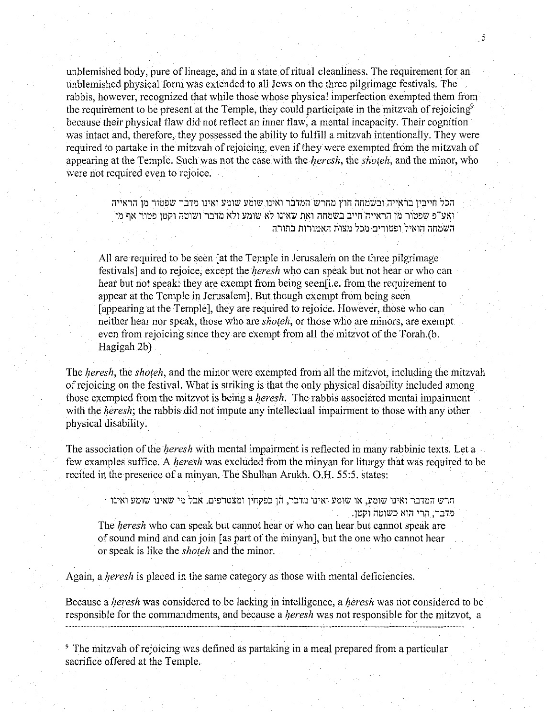unblemished body, pure of lineage, and in a state of ritual cleanliness. The requirement for an unblemished physical form was extended to all Jews on the three pilgrimage festivals. The rabbis, however, recognized that while those whose physical imperfection exempted them from the requirement to be present at the Temple, they could participate in the mitzvah of rejoicing<sup>9</sup> because their physical flaw did not reflect an inner flaw, a mental incapacity. Their cognition was intact and, therefore, they possessed the ability to fulfill a mitzvah intentionally. They were required to partake in the mitzvah of rejoicing, even if they were exempted from the mitzvah of appearing at the Temple. Such was not the case with the *heresh*, the *shoteh*, and the minor, who were not required even to rejoice.

5

הכל חייבין בראייה ובשמחה חוץ מחרש המדבר ואינו שומע שומע ואינו מדבר שפטור מן הראייה ואע"פ שפטור מן הראייה חייב בשמחה ואת שאינו לא שומע ולא מדבר ושוטה וקטו פטור אף מן ;השמחה הואיל ופטורים מכל מצות האמורות בתורה

All are required to be seen [ atthe Temple in Jerusalem on the three pilgrimage festivals] and to rejoice, except the *l;eresh* who can speak but not hear or who can hear but not speak: they are exempt from being seen[i.e. from the requirement to appear at the Temple in Jerusalem]. But though exempt from being seen (appearing at the Temple], they are required to rejoice. However, those who can neither hear nor speak, those who are *shoteh*, or those who are minors, are exempt even from rejoicing since they are exempt from all the mitzvot of the Torah.(b. Hagigah 2b)

The *heresh*, the *shoteh*, and the minor were exempted from all the mitzvot, including the mitzvah of rejoicing on the festival. What is striking is that the only physical disability included among those exempted from the mitzvot is being a *heresh*. The rabbis associated mental impairment with the *heresh*; the rabbis did not impute any intellectual impairment to those with any other physical disability.

The association of the *heresh* with mental impairment is reflected in many rabbinic texts. Let a few examples suffice. A *heresh* was excluded from the minyan for liturgy that was required to be recited in the presence of a minyan. The Shulhan Arukh. O.H. 55:5. states:

חרש המדבר ואינו שומע, או שומע ואינו מדבר, הן כפקחין ומצטרפים. אבל מי שאינו שומע ואינו מדבר. הרי הוא כשוטה וקטו. The *heresh* who can speak but cannot hear or who can hear but cannot speak are of sound mind and can join [as part of the minyan], but the one who cannot hear

or speak is like the *shoteh* and the minor.

Again, a *heresh* is placed in the same category as those with mental deficiencies.

Because a *l;eresh* was considered to be lacking in intelligence, a *l;eresh* was not considered to be responsible for the commandments, and because a *l;eresh* was not responsible for the mitzvot, a

9 The mitzvah of rejoicing was defined as partaking in a meal prepared from a particular sacrifice offered at the Temple.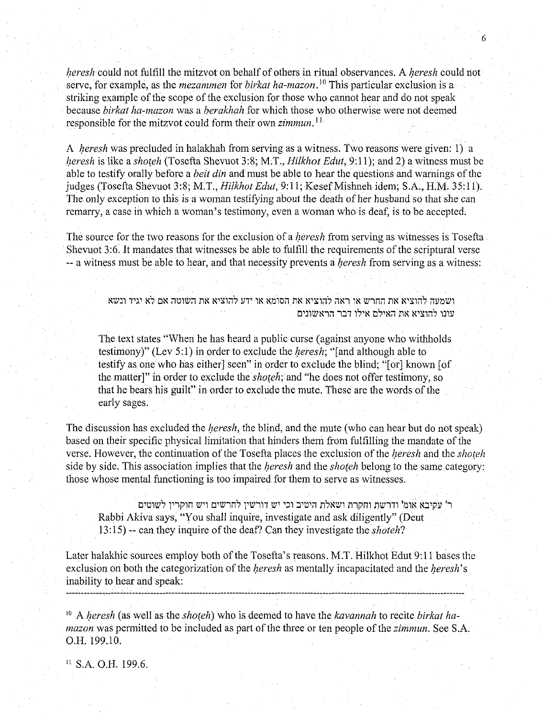heresh could not fulfill the mitzvot on behalf of others in ritual observances. A *heresh* could not serve, for example, as the *mezammen* for *birkat ha-mazon*.<sup>10</sup> This particular exclusion is a striking example of the scope of the exclusion for those who cannot hear and do not speak because *birkat ha-mazon* was a *berakhah* for which those who otherwise were not deemed responsible for the mitzvot could form their own *zimmun.* <sup>11</sup>

6

A *heresh* was precluded in halakhah from serving as a witness. Two reasons were given: 1) a heresh is like a *shoteh* (Tosefta Shevuot 3:8; M.T., *Hilkhot Edut*, 9:11); and 2) a witness must be able to testify orally before a *beit din* and must be able to hear the questions and warnings of the judges (Tosefta Shevuot 3:8; M.T., *Hilkhot Edut*, 9:11; Kesef Mishneh idem; S.A., H.M. 35:11). The only exception to this is a woman testifying about the death of her husband so that she can remarry, a case in which a woman's testimony, even a woman who is deaf, is to be accepted.

The source for the two reasons for the exclusion of a *heresh* from serving as witnesses is Tosefta Shevuot 3:6. It mandates that witnesses be able to fulfill the requirements of the scriptural verse -- a witness must be able to hear, and that necessity prevents a *heresh* from serving as a witness:

> ושמעה להוציא את החרש או ראה להוציא את הסומא או ידע להוציא את השוטה אם לא יגיד ונשא עונו להוציא את האילם אילו דבר הראשונים

The text states "When he has heard a public curse (against anyone who withholds testimony)" (Lev 5:1) in order to exclude the *heresh*; "[and although able to testify as one who has either] seen" in order to exclude the blind; "(or] known [of the matter]" in order to exclude the *shoteh*; and "he does not offer testimony, so that he bears his guilt" in order to exclude the mute. These are the words of the early sages.

The discussion has excluded the *heresh*, the blind, and the mute (who can hear but do not speak) based on their specific physical limitation that hinders them from fulfilling the mandate of the verse. However, the continuation of the Tosefta places the exclusion of the *heresh* and the *shoteh* side by side. This association implies that the *heresh* and the *shoteh* belong to the same category: those whose mental functioning is too impaired for them to serve as witnesses.

ר' עקיבא אומ' ודרשת וחקרת ושאלת היטיב וכי יש דורשין לחרשים ויש חוקרין לשוטים Rabbi Akiva says, "You shall inquire, investigate and ask diligently" (Deut 13:15) --can they inquire of the deaf? Can they investigate the *shoteh?* 

Later halakhic sources employ both of the Tosefta's reasons. M.T. Hilkhot Edut 9:11 bases the exclusion on both the categorization of the *heresh* as mentally incapacitated and the *heresh*'s inability to hear and speak:

<sup>10</sup> A *heresh* (as well as the *shoteh*) who is deemed to have the *kavannah* to recite *birkat hamazon* was permitted to be included as part of the three or ten people of the *zimmun.* See S.A. O.H. 199.10.

11 S.A. O.H. 199.6.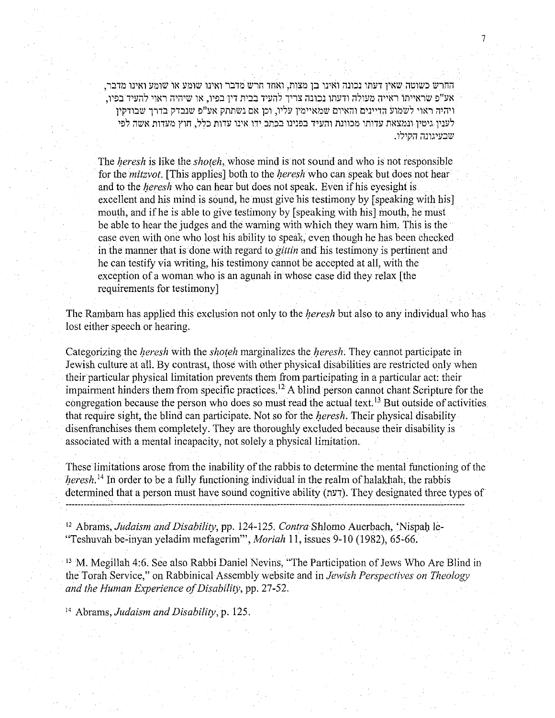החרש כשוטה שאין דעתו נכונה ואינו בן מצות, ואחד חרש מדבר ואינו שומע או שומע ואינו מדבר, ,1'פ שראייתו ראייה מעולה ודעתו נכונה צריך להעיד בבית דיו בפיו. או שיהיה ראוי להעיד בפיו ויהיה ראוי לשמוע הדיינים והאיום שמאיימין עליו, וכן אם נשתתק אע"פ שנבדק בדרך שבודקין לעניו גיטיו ונמצאת עדותו מכוונת והעיד בפנינו בכתב ידו אינו עדות כלל, חוץ מעדות אשה לפי שבעיגונה הקילו.

The *heresh* is like the *shoteh*, whose mind is not sound and who is not responsible for the *mitzvot*. [This applies] both to the *heresh* who can speak but does not hear and to the *l}eresh* who can hear but does not speak. Even if his eyesight is excellent and his mind is sound, he must give his testimony by [speaking with his] mouth, and if he is able to give testimony by [speaking with his] mouth, he must be able to hear the judges and the warning with which they warn him. This is the case even with one who lost his ability to speak, even though he has been checked in the manner that is done with regard to *gittin* and his testimony is pertinent and he can testify via writing, his testimony cannot be accepted at all, with the exception of a woman who is an agunah in whose case did they relax [the requirements for testimony]

The Rambam has applied this exclusion not only to the *heresh* but also to any individual who has lost either speech or hearing.

Categorizing the *heresh* with the *shoteh* marginalizes the *heresh*. They cannot participate in Jewish culture at all. By contrast, those with other physical disabilities are restricted only when their particular physical limitation prevents them from participating in a particular act: their impairment hinders them from specific practices. 12 A blind person cannot chant Scripture for the congregation because the person who does so must read the actual text.<sup>13</sup> But outside of activities that require sight, the blind can participate. Not so for the *heresh*. Their physical disability disenfranchises them completely. They are thoroughly excluded because their disability is associated with a mental incapacity, not solely a physical limitation.

These limitations arose from the inability of the rabbis to determine the mental functioning of the *heresh*<sup>14</sup> In order to be a fully functioning individual in the realm of halakhah, the rabbis determined that a person must have sound cognitive ability (דעת). They designated three types of

12 Abrams, *Judaism and Disability,* pp. 124-125. *Contra* Shlomo Auerbach, 'Nispal) le- "Teshuvah be-inyan yeladim mefagerim"', *Moriah* 1!, issues 9-10 (1982), 65-66.

<sup>13</sup> M. Megillah 4:6. See also Rabbi Daniel Nevins, "The Participation of Jews Who Are Blind in the Torah Service," on Rabbinical Assembly website and in *Jewish Perspectives on Theology and the Human Experience of Disability,* pp. 27-52.

14 Abrams, *Judaism and Disability,* p. 125.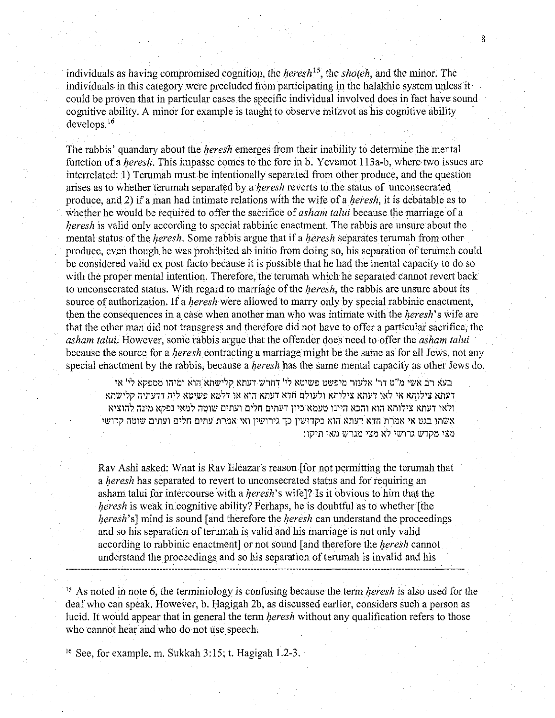individuals as having compromised cognition, the *heresh*<sup>15</sup>, the *shoteh*, and the minor. The individuals in this category were precluded from participating in the halakhic system unless it could be proven that in particular cases the specific individual involved does in fact have sound cognitive ability. A minor for example is taught to observe mitzvot as his cognitive ability develops. <sup>16</sup>

8

The rabbis' quandary about the *heresh* emerges from their inability to determine the mental function of a *heresh*. This impasse comes to the fore in b. Yevamot 113a-b, where two issues are interrelated: 1) Terumah must be intentionally separated from other produce, and the question arises as to whether terumah separated by a *heresh* reverts to the status of unconsecrated produce, and 2) if a man had intimate relations with the wife of a *heresh*, it is debatable as to whether he would be required to offer the sacrifice of *as ham talui* because the marriage of a *heresh* is valid only according to special rabbinic enactment. The rabbis are unsure about the mental status of the *heresh*. Some rabbis argue that if a *heresh* separates terumah from other produce, even though he was prohibited ab initio from doing so, his separation of terumah could be considered valid ex post facto because it is possible that he had the mental capacity to do so with the proper mental intention. Therefore, the terumah which he separated cannot revert back to unconsecrated status. With regard to marriage of the *heresh*, the rabbis are unsure about its source of authorization. If a *heresh* were allowed to marry only by special rabbinic enactment, then the consequences in a case when another man who was intimate with the *heresh*'s wife are that the other man did not transgress and therefore did not have to offer a particular sacrifice, the *asham talui.* However, some rabbis argue that the offender does need to offer the *as ham talui*  because the source for a *heresh* contracting a marriage might be the same as for all Jews, not any special enactment by the rabbis, because a *heresh* has the same mental capacity as other Jews do.

בעא רב אשי מ"ט דר' אלעזר מיפשט פשיטא לי' דחרש דעתא קלישתא הוא ומיהו מספקא לי' אי דעתא צילותא אי לאו דעתא צילותא ולעולם חדא דעתא הוא או דלמא פשיטא ליה דדעתיה קלישתא רלאו דעתא צילותא הוא והכא היינו טעמא כיון דעתים חלים ועתים שוטה למאי נפקא מינה להוציא 'אשתו בגט אי אמרת חדא דעתא הוא כקדושין כך גירושין ואי אמרת עתים חלים ועתים שוטה קדושי :1טצי מקדש גרושי לא מצי מגרש מאי תיקו

Rav Ashi asked: What is Rav Eleazar's reason [for not permitting the terumah that a heresh has separated to revert to unconsecrated status and for requiring an asham talui for intercourse with a *heresh*'s wife]? Is it obvious to him that the heresh is weak in cognitive ability? Perhaps, he is doubtful as to whether [the heresh's] mind is sound [and therefore the *heresh* can understand the proceedings and so his separation of terumah is valid and his marriage is not only valid according to rabbinic enactment] or not sound [and therefore the *heresh* cannot understand the proceedings and so his separation of terumah is invalid and his

 $15$  As noted in note 6, the terminiology is confusing because the term *heresh* is also used for the deaf who can speak. However, b. Hagigah 2b, as discussed earlier, considers such a person as lucid. It would appear that in general the term *heresh* without any qualification refers to those who cannot hear and who do not use speech.

16 See, for example, m. Sukkah 3: 15; t. Hagigah 1.2-3. ·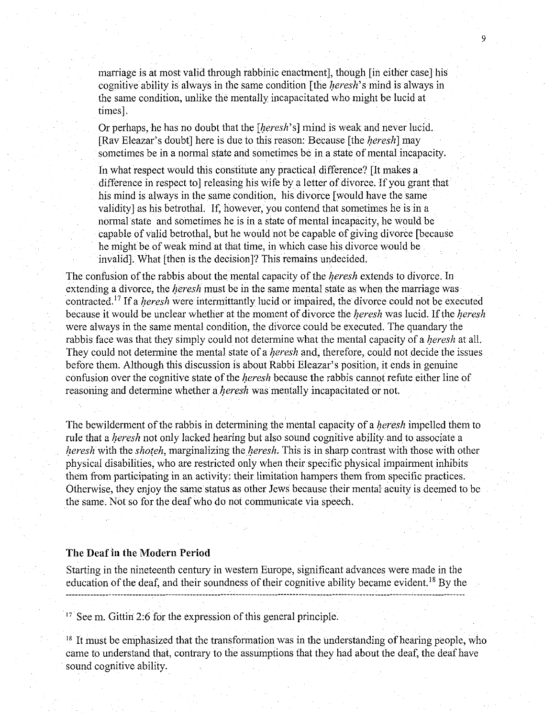marriage is at most valid through rabbinic enactment], though [in either case] his cognitive ability is always in the same condition [the *heresh*'s mind is always in the same condition, unlike the mentally incapacitated who might be lucid at times].

9

Or perhaps, he has no doubt that the [*heresh*'s] mind is weak and never lucid. [Rav Eleazar's doubt] here is due to this reason: Because [the *heresh*] may sometimes be in a normal state and sometimes be in a state of mental incapacity.

In what respect would this constitute any practical difference? [It makes a difference in respect to] releasing his wife by a letter of divorce. If you grant that his mind is always in the same condition, his divorce [would have the same validity] as his betrothal. If, however, you contend that sometimes he is in a normal state and sometimes he is in a state of mental incapacity, he would be capable of valid betrothal, but he would not be capable of giving divorce [because he might be of weak mind at that time, in which case his divorce would be invalid]. What [then is the decision]? This remains undecided.

The confusion of the rabbis about the mental capacity of the *heresh* extends to divorce. In extending a divorce, the *heresh* must be in the same mental state as when the marriage was contracted.<sup>17</sup> If a *heresh* were intermittantly lucid or impaired, the divorce could not be executed because it would be unclear whether at the moment of divorce the *heresh* was lucid. If the *heresh* were always in the same mental condition, the divorce could be executed. The quandary the rabbis face was that they simply could not determine what the mental capacity of a *heresh* at all. They could not determine the mental state of a *heresh* and, therefore, could not decide the issues before them. Although this discussion is about Rabbi Eleazar's position, it ends in genuine confusion over the cognitive state of the *heresh* because the rabbis cannot refute either line of reasoning and determine whether a *heresh* was mentally incapacitated or not.

The bewilderment of the rabbis in determining the mental capacity of a *heresh* impelled them to rule that a *heresh* not only lacked hearing but also sound cognitive ability and to associate a heresh with the shoteh, marginalizing the heresh. This is in sharp contrast with those with other physical disabilities, who are restricted only when their specific physical impairment inhibits them from participating in an activity: their limitation hampers them from specific practices. Otherwise, they enjoy the same status as other Jews because their mental acuity is deemed to be the same. Not so for the deaf who do not communicate via speech.

# The Deaf in the Modern Period

Starting in the nineteenth century in western Europe, significant advances were made in the education of the deaf, and their soundness of their cognitive ability became evident. 18 By the 이 사이에 대한 사이를 하는 것이 아니라 이 사이를 하는 것이 아니라 이 사이를 하는 것이 아니라 이 사이를 하는 것이다.

<sup>17</sup> See m. Gittin 2:6 for the expression of this general principle.

<sup>18</sup> It must be emphasized that the transformation was in the understanding of hearing people, who came to understand that, contrary to the assumptions that they had about the deaf, the deaf have sound cognitive ability.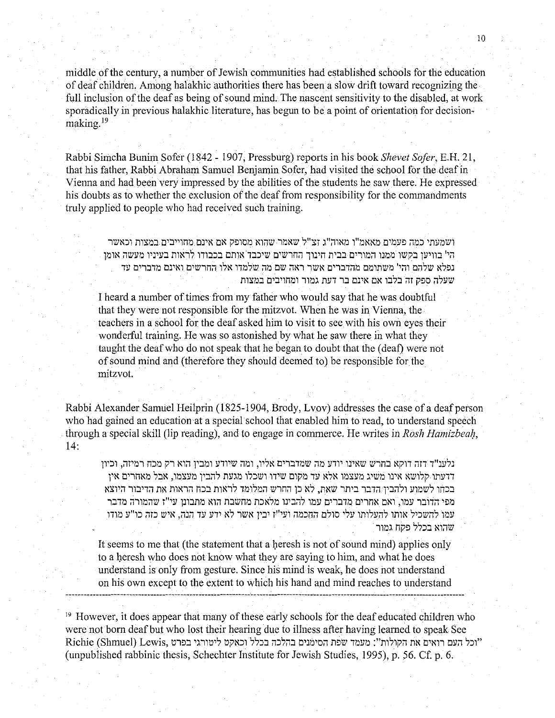middle of the century, a number of Jewish communities had established schools for the education of deaf children. Among halakhic authorities there has been a slow drift toward recognizing the full inclusion of the deaf as being of sound mind. The nascent sensitivity to the disabled, at work sporadically in previous halakhic literature, has begun to be a point of orientation for decisionmaking.19

Rabbi Simcha Bunim Sofer (1842 - 1907, Pressburg) reports in his book *Shevet Sofer*, E.H. 21, that his father, Rabbi Abraham Samuel Benjamin Sofer, had visited the school for the deaf in Vienna and had been very impressed by the abilities of the students he saw there. He expressed his doubts as to whether the exclusion of the deaf from responsibility for the commandments truly applied to people who had received such training.

ושמעתי כמה פעמים מאאמ"ו מאוה"ג זצ"ל שאמר שהוא מסופק אם אינם מחוייבים במצות וכאשר הי' בוויען בקשו ממנו המורים בבית חינוך החרשים שיכבד אותם בכבודו לראות בעיניו מעשה אומן ונפלא שלהם והי' משתומם מהדברים אשר ראה שם מה שלמדו אלו החרשים ואינם מדברים עד שעלה ספק זה בלבו אם אינם בר דעת גמור ומחויבים במצות

I heard a number of times from my father who would say that he was doubtful that they were not responsible for the mitzvot. When he was in Vienna, the teachers in a school for the deaf asked him to visit to see with his own eyes their wonderful training. He was so astonished by what he saw there in what they taught the deaf who do not speak that he began to doubt that the (deaf) were not of sound mind and (therefore they should deemed to) be responsible for the mitzvot.

Rabbi Alexander Samuel Heilprin (1825-1904, Brody, Lvov) addresses the case of a deaf person who had gained an education at a special school that enabled him to read, to understand speech through a special skill (lip reading), and to engage in commerce. He writes in *Rosh Hamizbeah*, 14:

נלענ"ד דזה דוקא בחרש שאינו יודע מה שמדברים אליו, ומה שיודע ומבין הוא רק מכח רמיזה, וכיון דדעתו קלושא אינו משיג מעצמו אלא עד מקום שידו ושכלו מגעת להבין מעצמו. אבל מאחרים אין בכתו לשמוע ולהבין הדבר ביתר שאת, לא כן החרש המלומד לראות בכח הראות את הדיבור היוצא מפי הדובר עמו, ואם אחרים מדברים עמו להבינו מלאכת מחשבת הוא מתבונן עי"ז שהמורה מדבר עמו להשכיל אותו להעלותו עלי סולם החכמה ועי"ז יבין אשר לא ידע עד הנה, איש כזה כו"ע מודו שהוא בכלל פקח גמור

It seems to me that (the statement that a heresh is not of sound mind) applies only to a heresh who does not know what they are saying to him, and what he does understand is only from gesture. Since his mind is weak, he does not understand on his own except to the extent to which his hand and mind reaches to understand

<sup>19</sup> However, it does appear that many of these early schools for the deaf educated children who were not born deaf but who lost their hearing due to illness after having learned to speak See Richie (Shmuel) Lewis, וכל העם רואים את הקולות": מעמד שפת הסימנים בהלכה בכלל וכאקט ליטורגי בפרט" (unpublished rabbinic thesis, Schechter Institute for Jewish Studies, 1995), p. 56. Cf. p. 6.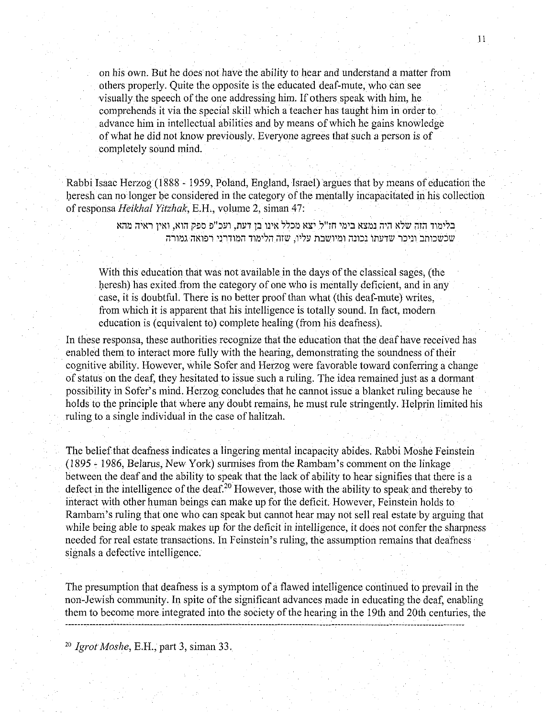on his own. But he does not have the ability to hear and understand a matter from others properly. Quite the opposite is the educated deaf-mute, who can see visually the speech of the one addressing him. If others speak with him, he comprehends it via the special skill which a teacher has taught him in order to advance him in intellectual abilities and by means of which he gains knowledge of what he did not know previously. Everyone agrees that such a person is of completely sound mind.

Rabbi Isaac Herzog (1888 - 1959, Poland, England, Israel) argues that by means of education the heresh can no longer be considered in the category of the mentally incapacitated in his collection of responsa *Heikhal Yitzhak*, E.H., volume 2, siman 47:

> בלימוד הזה שלא היה נמצא בימי חז"ל. יצא מכלל אינו בן דעת, ועכ"פ ספק הוא, ואין ראיה מהא שכשכותב וניכר שדעתו נכונה ומיושבת עליו, שזה הלימוד המודרני רפואה גמורה

With this education that was not available in the days of the classical sages, (the heresh) has exited from the category of one who is mentally deficient, and in any case, it is doubtful. There is no better proof than what (this deaf-mute) writes, from which it is apparent that his intelligence is totally sound. In fact, modem education is (equivalent to) complete healing (from his deafness).

In these responsa, these authorities recognize that the education that the deaf have received has enabled them to interact more fully with the hearing, demonstrating the soundness of their cognitive ability. However, while Sofer and Herzog were favorable toward conferring a change of status on the deaf, they hesitated to issue such a mling. The idea remained just as a dormant possibility in Sofer's mind. Herzog concludes that he cannot issue a blanket ruling because he holds to the principle that where any doubt remains, he must mle stringently. Helprin limited his ruling to a single individual in the case of halitzah.

The belief that deafness indicates a lingering mental incapacity abides. Rabbi Moshe Feinstein (1895- 1986, Belarus, New York) sunnises from the Rambam's comment on the linkage between the deaf and the ability to speak that the lack of ability to hear signifies that there is a defect in the intelligence of the deaf.<sup>20</sup> However, those with the ability to speak and thereby to interact with other human beings can make up for the deficit. However, Feinstein holds to Rambam's ruling that one who can speak but cannot hear may not sell real estate by arguing that while being able to speak makes up for the deficit in intelligence, it does not confer the sharpness needed for real estate transactions. In Feinstein's mling, the assumption remains that deafness signals a defective intelligence.

The presumption that deafness is a symptom of a flawed intelligence continued to prevail in the non-Jewish community. In spite of the significant advances made in educating the deaf, enabling them to become more integrated into the society of the hearing in the 19th and 20th centuries, the

20 *Jgrot Moshe,* E.H., part 3, siman 33.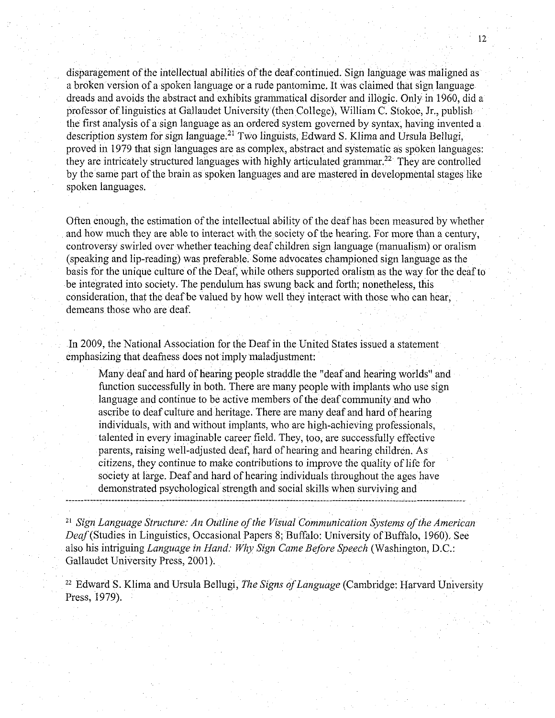disparagement of the intellectual abilities of the deaf continued. Sign language was maligned as a broken version of a spoken language or a rude pantomime. It was claimed that sign language dreads and avoids the abstract and exhibits grammatical disorder and illogic. Only in 1960, did a professor of linguistics at Gallaudet University (then College), William C. Stokoe, Jr., publish the first analysis of a sign language as an ordered system governed by syntax, having invented a description system for sign language.<sup>21</sup> Two linguists, Edward S. Klima and Ursula Bellugi, proved in 1979 that sign languages are as complex, abstract and systematic as spoken languages: they are intricately structured languages with highly articulated grammar.<sup>22</sup> They are controlled by the same part of the brain as spoken languages and are mastered in developmental stages like spoken languages.

Often enough, the estimation of the intellectual ability of the deaf has been measured by whether and how much they are able to interact with the society of the hearing. For more than a century, controversy swirled over whether teaching deaf children sign language (manualism) or oralism (speaking and lip-reading) was preferable. Some advocates championed sign language as the basis for the unique culture of the Deaf, while others supported oralism as the way for the deaf to be integrated into society. The pendulum has swung back and forth; nonetheless, this consideration, that the deaf be valued by how well they interact with those who can hear, demeans those who are deaf.

In 2009, the National Association for the Deaf in the United States issued a statement emphasizing that deafness does not imply maladjustment:

Many deaf and hard of hearing people straddle the "deaf and hearing worlds" and function successfully in both. There are many people with implants who use sign language and continue to be active members of the deaf community and who ascribe to deaf culture and heritage. There are many deaf and hard of hearing individuals, with and without implants, who are high-achieving professionals, talented in every imaginable career field. They, too, are successfully effective parents, raising well-adjusted deaf, hard of hearing and hearing children. As citizens, they continue to make contributions to improve the quality oflife for society at large. Deaf and hard of hearing individuals throughout the ages have demonstrated psychological strength and social skills when surviving and

21 Sign *Language Structure: An Outline of the Visual Communication Systems of the American*  Deaf(Studies in Linguistics, Occasional Papers 8; Buffalo: University of Buffalo, 1960). See also his intriguing *Language in Hand: Why Sign Came Before Speech* (Washington, D.C.: Gallaudet University Press, 2001).

<sup>22</sup> Edward S. Klima and Ursula Bellugi, *The Signs of Language* (Cambridge: Harvard University Press, 1979).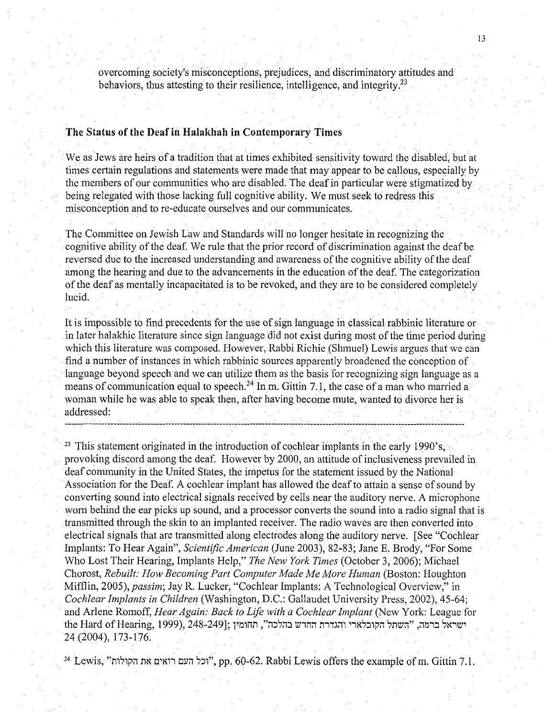overcoming society's misconceptions, prejudices, and discriminatory attitudes and behaviors, thus attesting to their resilience, intelligence, and integrity.<sup>23</sup>

# The Status of the Deaf in Halakhah in Contemporary Times

We as Jews are heirs of a tradition that at times exhibited sensitivity toward the disabled, but at times certain regulations and statements were made that may appear to be callous, especially by the members of our communities who are disabled. The deaf in particular were stigmatized by being relegated with those lacking full cognitive ability. We must seek to redress this misconception and to re-educate ourselves and our communicates.

The Committee on Jewish Law and Standards will no longer hesitate in recognizing the cognitive ability of the deaf. We rule that the prior record of discrimination against the deafbe reversed due to the increased understanding and awareness of the cognitive ability of the deaf among the hearing and due to the advancements in the education of the deaf. The categorization of the deaf as mentally incapacitated is to be revoked, and they are to be considered completely lucid.

It is impossible to find precedents for the use of sign language in classical rabbinic literature or in later halakhic literature since sign language did not exist during most of the time period during which this literature was composed. However, Rabbi Richie (Shmuel) Lewis argues that we can find a number of instances in which rabbinic sources apparently broadened the conception of language beyond speech and we can utilize them as the basis for recognizing sign language as a means of communication equal to speech.<sup>24</sup> In m. Gittin 7.1, the case of a man who married a woman while he was able to speak then, after having become mute, wanted to divorce her is addressed:

<sup>23</sup> This statement originated in the introduction of cochlear implants in the early 1990's, provoking discord among the deaf. However by 2000, an attitude of inclusiveness prevailed in deaf community in the United States, the impetus for the statement issued by the National Association for the Deaf. A cochlear implant has allowed the deaf to attain a sense of sound by converting sound into electrical signals received by cells near the auditory nerve. A microphone worn behind the ear picks up sound, and a processor converts the sound into a radio signal that is transmitted through the skin to an implanted receiver. The radio waves are then converted into electrical signals that are transmitted along electrodes along the auditory nerve. [See "Cochlear Implants: To Hear Again", *Scientific American* (June 2003), 82-83; Jane E. Brody, "For Some Who Lost Their Hearing, Implants Help," *The New York Times* (October 3, 2006); Michael Chorost, *Rebuilt: How Becoming Part Computer Made Me More Human* (Boston: Houghton Mifflin, 2005), *passim;* Jay R. Lucker, "Cochlear Implants: A Technological Overview," in *Cochlear Implants in Children* (Washington, D.C.: Gallaudet University Press, 2002), 45-64; and Arlene Romoff, *Hear Again: Back to Life with a Cochlear Implant* (New York: League for the Hard of Hearing, 1999), 248-249]; ושראל ברמה, "השתל הקוכלארי והגדרת החרש בהלכה", תחומין 24 (2004), 173-176.

<sup>24</sup> Lewis, "וכל העם רואים את הקולות". pp. 60-62. Rabbi Lewis offers the example of m. Gittin 7.1.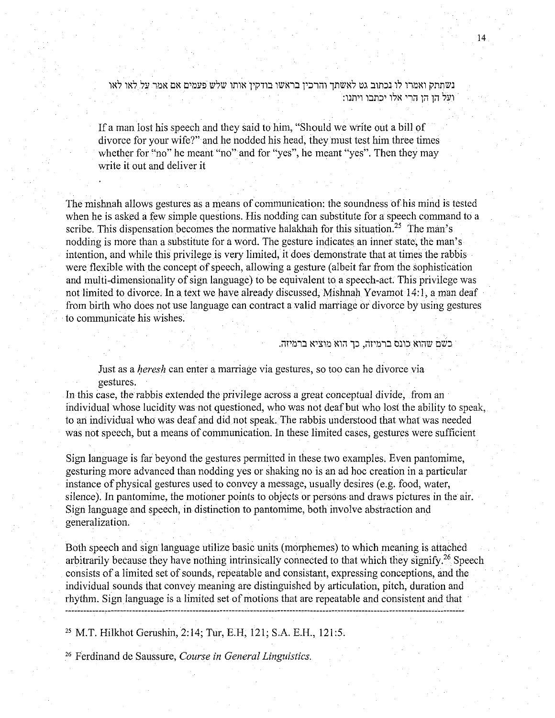1 *בשתתק ואמרו לו נכתוב גט לאשתך והרכין בראשו בודקין אותו שלש פעמים אם אמר על לאו לאו* :1ועל הו הו הרי אלו יכתבו ויתנו

If a man lost his speech and they said to him, "Should we write out a bill of divorce for your wife?" and he nodded his head, they must test him three times whether for "no" he meant "no" and for "yes", he meant "yes". Then they may write it out and deliver it

The mishnah allows gestures as a means of communication: the soundness of his mind is tested when he is asked a few simple questions. His nodding can substitute for a speech command to a scribe. This dispensation becomes the normative halakhah for this situation.<sup>25</sup> The man's nodding is more than a substitute for a word. The gesture indicates an inner state, the man's intention, and while this privilege is very limited, it does demonstrate that at times the rabbis were flexible with the concept of speech, allowing a gesture (albeit far from the sophistication and multi-dimensionality of sign language) to be equivalent to a speech-act. This privilege was not limited to divorce. In a text we have already discussed, Mishnah Yevamot 14:1, a man deaf from birth who does not use language can contract a valid marriage or divorce by using gestures to communicate his wishes.

כשם שהוא כונס ברמיזה, כך הוא מוציא ברמיזה.

Just as a heresh can enter a marriage via gestures, so too can he divorce via gestures.

In this case, the rabbis extended the privilege across a great conceptual divide, from an individual whose lucidity was not questioned, who was not deaf but who lost the ability to speak, to an individual who was deaf and did not speak. The rabbis understood that what was needed was not speech, but a means of communication. In these limited cases, gestures were sufficient

Sign language is far beyond the gestures permitted in these two examples. Even pantomime, gesturing more advanced than nodding yes or shaking no is an ad hoc creation in a particular instance of physical gestures used to convey a message, usually desires (e.g. food, water, silence). In pantomime, the motioner points to objects or persons and draws pictures in the air. Sign language and speech, in distinction to pantomime, both involve abstraction and generalization.

Both speech and sign language utilize basic units (morphemes) to which meaning is attached arbitrarily because they have nothing intrinsically connected to that which they signify.26 Speech consists of a limited set of sounds, repeatable and consistant, expressing conceptions, and the individual sounds that convey meaning are distinguished by articulation, pitch, duration and rhythm. Sign language is a limited set of motions that are repeatable and consistent and that

25 M.T. Hilkhot Gerushin, 2:14; Tur, E.H, 121; S.A. E.H., 121:5.

26 Ferdinand de Saussure, *Course in General Linguistics.*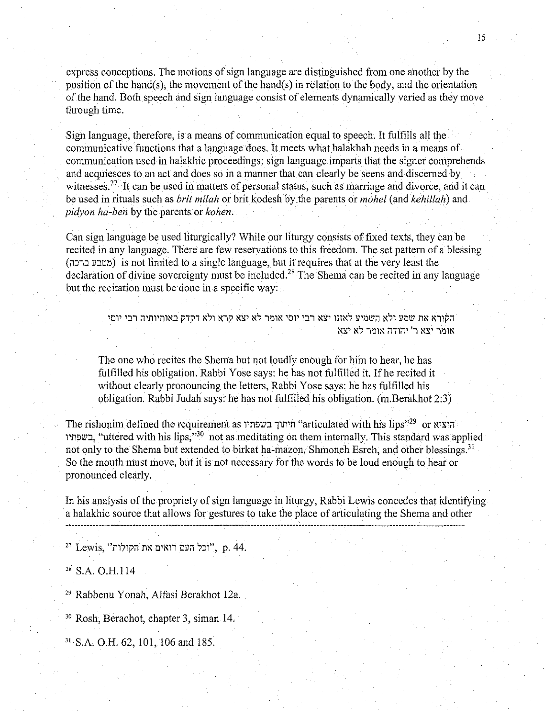express conceptions. The motions of sign language are distinguished from one another by the position of the hand(s), the movement of the hand(s) in relation to the body, and the orientation of the hand. Both speech and sign language consist of elements dynamically varied as they move through time.

Sign language, therefore, is a means of communication equal to speech. It fulfills all the communicative functions that a language does. It meets what halakhah needs in a means of communication used in halakhic proceedings: sign language imparts that the signer comprehends and acquiesces to an act and does so in a manner that can clearly be seens and discemed by witnesses.<sup>27</sup> It can be used in matters of personal status, such as marriage and divorce, and it can be used in rituals such as *brit milah* or brit kodesh by the parents or *mohel* (and *kehillah)* and *pidyon ha-ben* by the parents or *kohen.* 

Can sign language be used liturgically? While our liturgy consists of fixed texts, they can be recited in any language. There are few reservations to this freedom. The set pattern of a blessing (מטבע ברכה) is not limited to a single language, but it requires that at the very least the declaration of divine sovereignty must be included.<sup>28</sup> The Shema can be recited in any language but the recitation must be done in a specific way:

> הקורא את שמע ולא השמיע לאזנו יצא רבי יוסי אומר לא יצא קרא ולא דקדק באותיותיה רבי יוסי. אומר יצא ר' יהודה אומר לא יצא

The one who recites the Shema but not loudly enough for him to hear, he has fulfilled his obligation. Rabbi Yose says: he has not fulfilled it. If he recited it without clearly pronouncing the letters, Rabbi Yose says: he has fulfilled his obligation. Rabbi Judah says: he has not fulfilled his obligation. (m.Berakhot 2:3)

The rishonim defined the requirement as וויתוך בשפתיו "articulated with his lips"<sup>29</sup> or הוציא ה 1'11~lll:l, "uttered with his lips,"30 not as meditating on them internally. This standard was applied not only to the Shema but extended to birkat ha-mazon, Shmoneh Esreh, and other blessings.<sup>31</sup> So the mouth must move, but it is not necessary for the words to be loud enough to hear or pronounced clearly.

In his analysis of the propriety of sign language in liturgy, Rabbi Lewis concedes that identifying a halakhic source that allows for gestures to take the place of articulating the Shema and other

27 Lewis, "תכל העם רואים את הקולות", p. 44.

 $28$  S.A. O.H.114

<sup>29</sup> Rabbenu Yonah, Alfasi Berakhot 12a.

30 Rosh, Berachot, chapter 3, siman 14.

31 S.A. O.H. 62, 101, !06 and 185.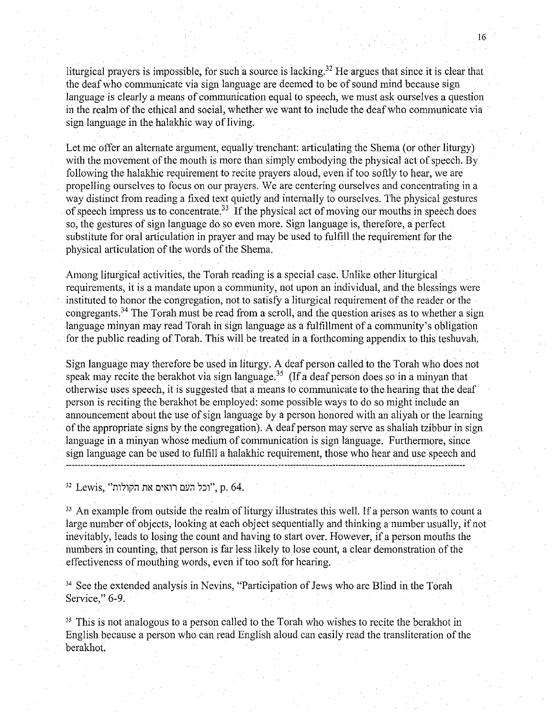liturgical prayers is impossible, for such a source is lacking.<sup>32</sup> He argues that since it is clear that the deaf who communicate via sign language are deemed to be of sound mind because sign language is clearly a means of communication equal to speech, we must ask ourselves a question in the realm of the ethical and social, whether we want to include the deaf who communicate via sign language in the halakhic way of living.

Let me offer an alternate argument, equally trenchant: articulating the Shema (or other liturgy) with the movement of the mouth is more than simply embodying the physical act of speech. By following the halakhic requirement to recite prayers aloud, even if too softly to hear, we are propelling ourselves to focus on our prayers. We are centering ourselves and concentrating in a way distinct from reading a fixed text quietly and internally to ourselves. The physical gestures of speech impress us to concentrate.<sup>33</sup> If the physical act of moving our mouths in speech does so, the gestures of sign language do so even more. Sign language is, therefore, a perfect substitute for oral articulation in prayer and may be used to fulfill the requirement for the physical articulation of the words of the Shema.

Among liturgical activities, the Torah reading is a special case. Unlike other liturgical requirements, it is a mandate upon a community, not upon an individual, and the blessings were instituted to honor the congregation, not to satisfy a liturgical requirement of the reader or the congregants.<sup>34</sup> The Torah must be read from a scroll, and the question arises as to whether a sign language minyan may read Torah in sign language as a fulfillment of a community's obligation for the public reading of Torah. This will be treated in a forthcoming appendix to this teshuvah.

Sign language may therefore be used in liturgy. A deaf person called to the Torah who does not speak may recite the berakhot via sign language.<sup>35</sup> (If a deaf person does so in a minyan that otherwise uses speech, it is suggested that a means to communicate to the hearing that the deaf person is reciting the berakhot be employed: some possible ways to do so might include an announcement about the use of sign language by a person honored with an alivah or the learning of the appropriate signs by the congregation). A deaf person may serve as shaliah tzibbur in sign language in a minyan whose medium of communication is sign language. Furthermore, since sign language can be used to fulfill a halakhic requirement, those who hear and use speech and

32 Lewis, "וכל העם רואים את הקולות", p. 64.

 $33$  An example from outside the realm of liturgy illustrates this well. If a person wants to count a large number of objects, looking at each object sequentially and thinking a number usually, if not inevitably, leads to losing the count and having to start over. However, if a person mouths the numbers in counting, that person is far less likely to lose count, a clear demonstration of the effectiveness of mouthing words, even if too soft for hearing.

<sup>34</sup> See the extended analysis in Nevins, "Participation of Jews who are Blind in the Torah Service," 6-9.

 $35$ . This is not analogous to a person called to the Torah who wishes to recite the berakhot in English because a person who can read English aloud can easily read the transliteration of the berakhot.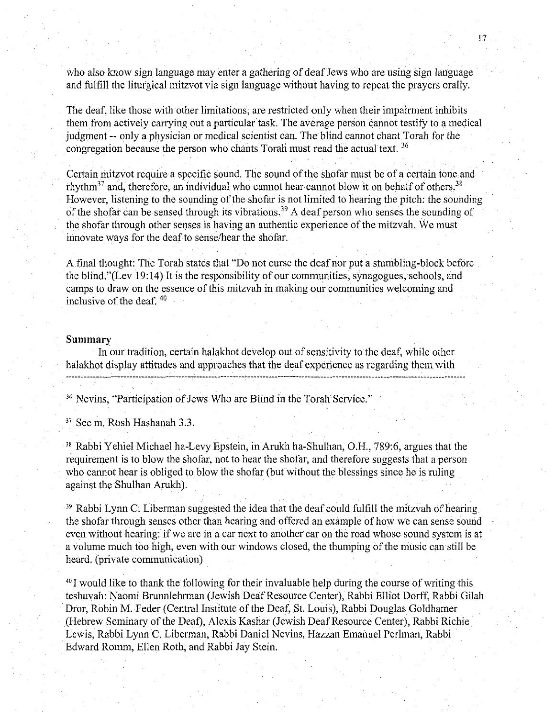who also know sign language may enter a gathering of deaf Jews who are using sign language and fulfill the liturgical mitzvot via sign language without having to repeat the prayers orally.

The deaf, like those with other limitations, are restricted only when their impairment inhibits them from actively carrying out a particular task. The average person cannot testify to a medical judgment -- only a physician or medical scientist can. The blind cannot chant Torah for the congregation because the person who chants Torah must read the actual text.<sup>36</sup>

Certain mitzvot require a specific sound. The sound of the shofar must be of a certain tone and rhythm<sup>37</sup> and, therefore, an individual who cannot hear cannot blow it on behalf of others.<sup>38</sup> However, listening to the sounding of the shofar is not limited to hearing the pitch: the sounding of the shofar can be sensed through its vibrations.39 A deaf person who senses the sounding of the shofar through other senses is having an authentic experience of the mitzvah. We must innovate ways for the deaf to sense/hear the shofar.

A final thought: The Torah states that "Do not curse the deaf nor put a stumbling-block before the blind."(Lev 19:14) It is the responsibility of our communities, synagogues, schools, and camps to draw on the essence of this mitzvah in making our communities welcoming and inclusive of the deaf. 40

### **Summary**

In our tradition, certain halakhot develop out of sensitivity to the deaf, while other halakhot display attitudes and approaches that the deaf experience as regarding them with

36 Nevins, "Participation of Jews Who are Blind in the Torah Service."

37 Seem. Rosh Hashanah 3.3.

38 Rabbi Yehiel Michael ha-Levy Epstein, in Arukh ha-Shulhan, O.H., 789:6, argues that the requirement is to blow the shofar, not to hear the shofar, and therefore suggests that a person who cannot hear is obliged to blow the shofar (but without the blessings since he is ruling against the Shulhan Arukh).

<sup>39</sup> Rabbi Lynn C. Liberman suggested the idea that the deaf could fulfill the mitzvah of hearing the shofar through senses other than hearing and offered an example of how we can sense sound even without hearing: if we are in a car next to another car on the road whose sound system is at a volume much too high, even with our windows closed, the thumping of the music can still be heard. (private communication)

<sup>40</sup> I would like to thank the following for their invaluable help during the course of writing this teshuvah: Naomi Brunnlehrman (Jewish Deaf Resource Center), Rabbi Elliot Dorff, Rabbi Gilah Dror, Robin M. Feder (Central Institute of the Deaf, St. Louis), Rabbi Douglas Goldhamer (Hebrew Seminary of the Deaf), Alexis Kashar (Jewish Deaf Resource Center), Rabbi Richie Lewis, Rabbi Lynn C. Liberman, Rabbi Daniel Nevins, Hazzan Emanuel Perlman, Rabbi Edward Romm, Ellen Roth, and Rabbi Jay Stein.